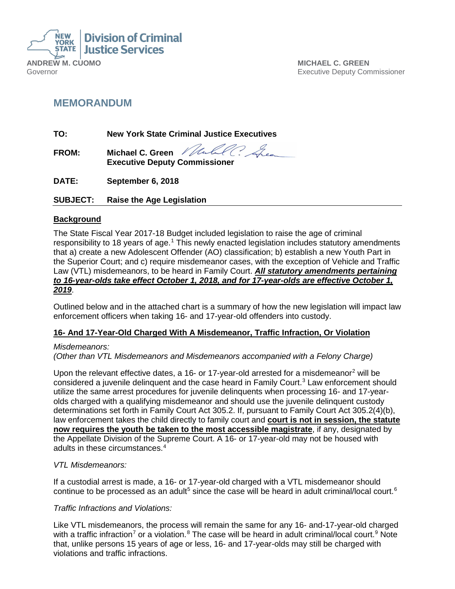

**MICHAEL C. GREEN** Executive Deputy Commissioner

## **MEMORANDUM**

**TO: New York State Criminal Justice Executives**

**FROM: Michael C. Green Executive Deputy Commissioner** 

**DATE: September 6, 2018**

**SUBJECT: Raise the Age Legislation**

#### **Background**

The State Fiscal Year 2017-18 Budget included legislation to raise the age of criminal responsibility to [1](#page-2-0)8 years of age.<sup>1</sup> This newly enacted legislation includes statutory amendments that a) create a new Adolescent Offender (AO) classification; b) establish a new Youth Part in the Superior Court; and c) require misdemeanor cases, with the exception of Vehicle and Traffic Law (VTL) misdemeanors, to be heard in Family Court. *All statutory amendments pertaining to 16-year-olds take effect October 1, 2018, and for 17-year-olds are effective October 1, 2019*.

Outlined below and in the attached chart is a summary of how the new legislation will impact law enforcement officers when taking 16- and 17-year-old offenders into custody.

## **16- And 17-Year-Old Charged With A Misdemeanor, Traffic Infraction, Or Violation**

#### *Misdemeanors:*

*(Other than VTL Misdemeanors and Misdemeanors accompanied with a Felony Charge)*

Upon the relevant effective dates, a 16- or 17-year-old arrested for a misdemeanor<sup>[2](#page-2-1)</sup> will be considered a juvenile delinquent and the case heard in Family Court. [3](#page-2-2) Law enforcement should utilize the same arrest procedures for juvenile delinquents when processing 16- and 17-yearolds charged with a qualifying misdemeanor and should use the juvenile delinquent custody determinations set forth in Family Court Act 305.2. If, pursuant to Family Court Act 305.2(4)(b), law enforcement takes the child directly to family court and **court is not in session, the statute now requires the youth be taken to the most accessible magistrate**, if any, designated by the Appellate Division of the Supreme Court. A 16- or 17-year-old may not be housed with adults in these circumstances. [4](#page-2-3)

#### *VTL Misdemeanors:*

If a custodial arrest is made, a 16- or 17-year-old charged with a VTL misdemeanor should continue to be processed as an adult<sup>[5](#page-2-4)</sup> since the case will be heard in adult criminal/local court.<sup>[6](#page-2-5)</sup>

#### *Traffic Infractions and Violations:*

Like VTL misdemeanors, the process will remain the same for any 16- and-17-year-old charged with a traffic infraction<sup>[7](#page-2-6)</sup> or a violation.<sup>[8](#page-2-7)</sup> The case will be heard in adult criminal/local court.<sup>[9](#page-2-8)</sup> Note that, unlike persons 15 years of age or less, 16- and 17-year-olds may still be charged with violations and traffic infractions.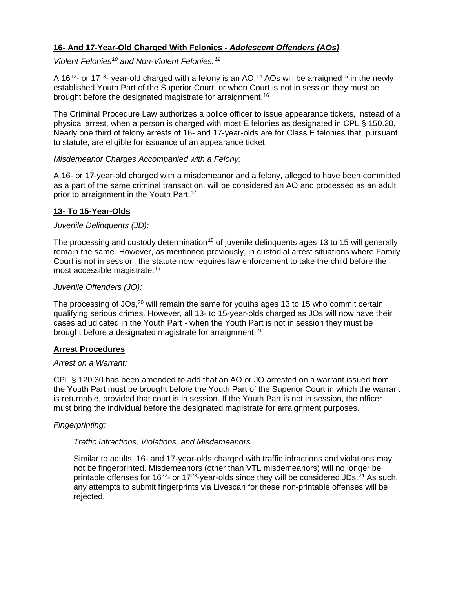## **16- And 17-Year-Old Charged With Felonies -** *Adolescent Offenders (AOs)*

*Violent Felonies[10](#page-3-0) and Non-Violent Felonies: [11](#page-3-1)*

A 16<sup>12</sup>- or 17<sup>13</sup>- year-old charged with a felony is an AO.<sup>[14](#page-3-4)</sup> AOs will be arraigned<sup>[15](#page-3-5)</sup> in the newly established Youth Part of the Superior Court, or when Court is not in session they must be brought before the designated magistrate for arraignment.<sup>[16](#page-3-6)</sup>

The Criminal Procedure Law authorizes a police officer to issue appearance tickets, instead of a physical arrest, when a person is charged with most E felonies as designated in CPL § 150.20. Nearly one third of felony arrests of 16- and 17-year-olds are for Class E felonies that, pursuant to statute, are eligible for issuance of an appearance ticket.

#### *Misdemeanor Charges Accompanied with a Felony:*

A 16- or 17-year-old charged with a misdemeanor and a felony, alleged to have been committed as a part of the same criminal transaction, will be considered an AO and processed as an adult prior to arraignment in the Youth Part. [17](#page-3-7)

## **13- To 15-Year-Olds**

#### *Juvenile Delinquents (JD):*

The processing and custody determination<sup>[18](#page-3-8)</sup> of juvenile delinguents ages 13 to 15 will generally remain the same. However, as mentioned previously, in custodial arrest situations where Family Court is not in session, the statute now requires law enforcement to take the child before the most accessible magistrate. [19](#page-3-9)

#### *Juvenile Offenders (JO):*

The processing of JOs,<sup>[20](#page-3-10)</sup> will remain the same for youths ages 13 to 15 who commit certain qualifying serious crimes. However, all 13- to 15-year-olds charged as JOs will now have their cases adjudicated in the Youth Part - when the Youth Part is not in session they must be brought before a designated magistrate for arraignment.<sup>[21](#page-3-11)</sup>

#### **Arrest Procedures**

#### *Arrest on a Warrant:*

CPL § 120.30 has been amended to add that an AO or JO arrested on a warrant issued from the Youth Part must be brought before the Youth Part of the Superior Court in which the warrant is returnable, provided that court is in session. If the Youth Part is not in session, the officer must bring the individual before the designated magistrate for arraignment purposes.

#### *Fingerprinting:*

#### *Traffic Infractions, Violations, and Misdemeanors*

Similar to adults, 16- and 17-year-olds charged with traffic infractions and violations may not be fingerprinted. Misdemeanors (other than VTL misdemeanors) will no longer be printable offenses for 16<sup>[22](#page-3-12)</sup>- or 17<sup>[23](#page-3-13)</sup>-year-olds since they will be considered JDs.<sup>[24](#page-3-14)</sup> As such, any attempts to submit fingerprints via Livescan for these non-printable offenses will be rejected.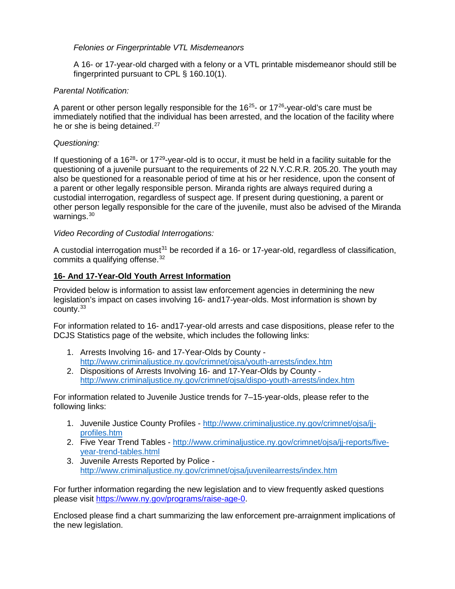#### *Felonies or Fingerprintable VTL Misdemeanors*

A 16- or 17-year-old charged with a felony or a VTL printable misdemeanor should still be fingerprinted pursuant to CPL § 160.10(1).

#### <span id="page-2-4"></span><span id="page-2-3"></span><span id="page-2-2"></span><span id="page-2-1"></span><span id="page-2-0"></span>*Parental Notification:*

<span id="page-2-6"></span><span id="page-2-5"></span>A parent or other person legally responsible for the  $16^{25}$ - or  $17^{26}$ -vear-old's care must be immediately notified that the individual has been arrested, and the location of the facility where he or she is being detained.<sup>[27](#page-3-17)</sup>

#### <span id="page-2-8"></span><span id="page-2-7"></span>*Questioning:*

If questioning of a  $16^{28}$  $16^{28}$  $16^{28}$ - or  $17^{29}$  $17^{29}$  $17^{29}$ -year-old is to occur, it must be held in a facility suitable for the questioning of a juvenile pursuant to the requirements of 22 N.Y.C.R.R. 205.20. The youth may also be questioned for a reasonable period of time at his or her residence, upon the consent of a parent or other legally responsible person. Miranda rights are always required during a custodial interrogation, regardless of suspect age. If present during questioning, a parent or other person legally responsible for the care of the juvenile, must also be advised of the Miranda warnings.<sup>[30](#page-3-20)</sup>

#### *Video Recording of Custodial Interrogations:*

A custodial interrogation must<sup>31</sup> be recorded if a 16- or 17-year-old, regardless of classification, commits a qualifying offense.<sup>[32](#page-3-22)</sup>

#### **16- And 17-Year-Old Youth Arrest Information**

Provided below is information to assist law enforcement agencies in determining the new legislation's impact on cases involving 16- and17-year-olds. Most information is shown by county. [33](#page-3-23)

For information related to 16- and17-year-old arrests and case dispositions, please refer to the DCJS Statistics page of the website, which includes the following links:

- 1. Arrests Involving 16- and 17-Year-Olds by County <http://www.criminaljustice.ny.gov/crimnet/ojsa/youth-arrests/index.htm>
- 2. Dispositions of Arrests Involving 16- and 17-Year-Olds by County <http://www.criminaljustice.ny.gov/crimnet/ojsa/dispo-youth-arrests/index.htm>

For information related to Juvenile Justice trends for 7–15-year-olds, please refer to the following links:

- 1. Juvenile Justice County Profiles [http://www.criminaljustice.ny.gov/crimnet/ojsa/jj](http://www.criminaljustice.ny.gov/crimnet/ojsa/jj-profiles.htm)[profiles.htm](http://www.criminaljustice.ny.gov/crimnet/ojsa/jj-profiles.htm)
- 2. Five Year Trend Tables [http://www.criminaljustice.ny.gov/crimnet/ojsa/jj-reports/five](http://www.criminaljustice.ny.gov/crimnet/ojsa/jj-reports/five-year-trend-tables.html)[year-trend-tables.html](http://www.criminaljustice.ny.gov/crimnet/ojsa/jj-reports/five-year-trend-tables.html)
- 3. Juvenile Arrests Reported by Police <http://www.criminaljustice.ny.gov/crimnet/ojsa/juvenilearrests/index.htm>

For further information regarding the new legislation and to view frequently asked questions please visit [https://www.ny.gov/programs/raise-age-0.](https://www.ny.gov/programs/raise-age-0)

Enclosed please find a chart summarizing the law enforcement pre-arraignment implications of the new legislation.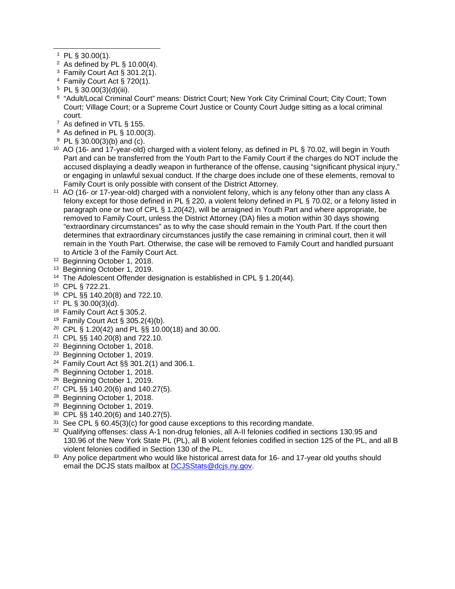$1$  PL § 30.00(1).

l

- $2$  As defined by PL § 10.00(4).
- <sup>3</sup> Family Court Act § 301.2(1).
- <sup>4</sup> Family Court Act § 720(1).
- $5$  PL § 30.00(3)(d)(iii).
- <sup>6</sup> "Adult/Local Criminal Court" means: District Court; New York City Criminal Court; City Court; Town Court; Village Court; or a Supreme Court Justice or County Court Judge sitting as a local criminal court.
- <sup>7</sup> As defined in VTL § 155.
- <sup>8</sup> As defined in PL § 10.00(3).
- <sup>9</sup> PL § 30.00(3)(b) and (c).
- <span id="page-3-0"></span><sup>10</sup> AO (16- and 17-year-old) charged with a violent felony, as defined in PL § 70.02, will begin in Youth Part and can be transferred from the Youth Part to the Family Court if the charges do NOT include the accused displaying a deadly weapon in furtherance of the offense, causing "significant physical injury," or engaging in unlawful sexual conduct. If the charge does include one of these elements, removal to Family Court is only possible with consent of the District Attorney.
- <span id="page-3-1"></span><sup>11</sup> AO (16- or 17-year-old) charged with a nonviolent felony, which is any felony other than any class A felony except for those defined in PL § 220, a violent felony defined in PL § 70.02, or a felony listed in paragraph one or two of CPL § 1.20(42), will be arraigned in Youth Part and where appropriate, be removed to Family Court, unless the District Attorney (DA) files a motion within 30 days showing "extraordinary circumstances" as to why the case should remain in the Youth Part. If the court then determines that extraordinary circumstances justify the case remaining in criminal court, then it will remain in the Youth Part. Otherwise, the case will be removed to Family Court and handled pursuant to Article 3 of the Family Court Act.
- <span id="page-3-2"></span><sup>12</sup> Beginning October 1, 2018.
- <span id="page-3-3"></span><sup>13</sup> Beginning October 1, 2019.
- <span id="page-3-4"></span><sup>14</sup> The Adolescent Offender designation is established in CPL § 1.20(44).
- <span id="page-3-5"></span><sup>15</sup> CPL § 722.21.
- <span id="page-3-6"></span><sup>16</sup> CPL §§ 140.20(8) and 722.10.
- <span id="page-3-7"></span><sup>17</sup> PL § 30.00(3)(d).
- <span id="page-3-8"></span><sup>18</sup> Family Court Act § 305.2.
- <sup>19</sup> Family Court Act § 305.2(4)(b).
- <span id="page-3-11"></span><span id="page-3-10"></span><span id="page-3-9"></span><sup>20</sup> CPL § 1.20(42) and PL §§ 10.00(18) and 30.00.
- <sup>21</sup> CPL §§ 140.20(8) and 722.10.
- <span id="page-3-12"></span><sup>22</sup> Beginning October 1, 2018.
- <span id="page-3-13"></span><sup>23</sup> Beginning October 1, 2019.
- <span id="page-3-14"></span><sup>24</sup> Family Court Act §§ 301.2(1) and 306.1.
- <span id="page-3-15"></span><sup>25</sup> Beginning October 1, 2018.
- <span id="page-3-16"></span><sup>26</sup> Beginning October 1, 2019.
- <span id="page-3-17"></span><sup>27</sup> CPL §§ 140.20(6) and 140.27(5).
- <span id="page-3-18"></span><sup>28</sup> Beginning October 1, 2018.
- <span id="page-3-19"></span><sup>29</sup> Beginning October 1, 2019.
- <span id="page-3-20"></span><sup>30</sup> CPL §§ 140.20(6) and 140.27(5).
- <span id="page-3-21"></span><sup>31</sup> See CPL § 60.45(3)(c) for good cause exceptions to this recording mandate.
- <span id="page-3-22"></span>32 Qualifying offenses: class A-1 non-drug felonies, all A-II felonies codified in sections 130.95 and 130.96 of the New York State PL (PL), all B violent felonies codified in section 125 of the PL, and all B violent felonies codified in Section 130 of the PL.
- <span id="page-3-23"></span><sup>33</sup> Any police department who would like historical arrest data for 16- and 17-year old youths should email the DCJS stats mailbox at **DCJSStats@dcjs.ny.gov**.